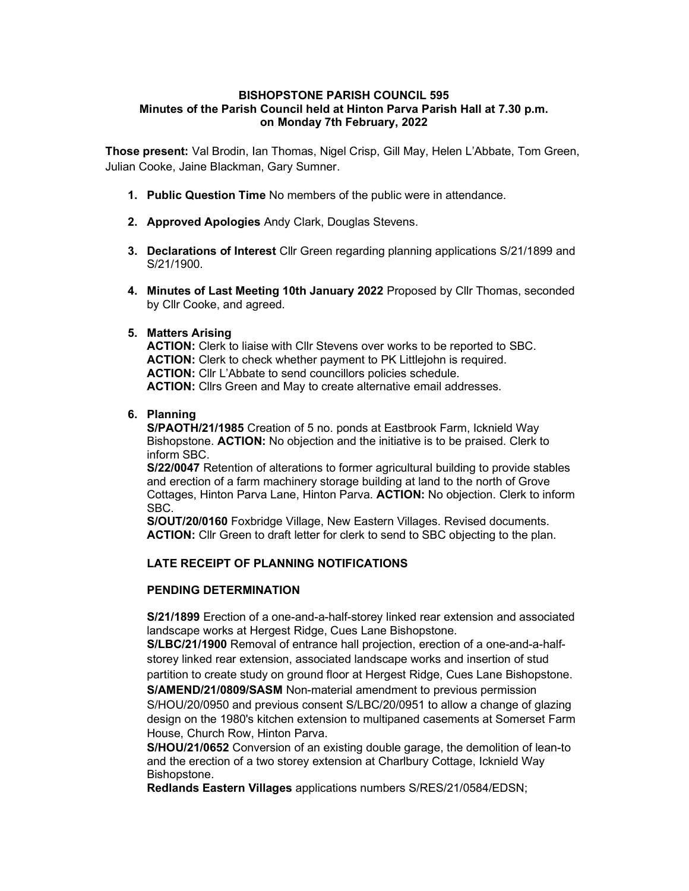#### BISHOPSTONE PARISH COUNCIL 595 Minutes of the Parish Council held at Hinton Parva Parish Hall at 7.30 p.m. on Monday 7th February, 2022

Those present: Val Brodin, Ian Thomas, Nigel Crisp, Gill May, Helen L'Abbate, Tom Green, Julian Cooke, Jaine Blackman, Gary Sumner.

- 1. Public Question Time No members of the public were in attendance.
- 2. Approved Apologies Andy Clark, Douglas Stevens.
- 3. Declarations of Interest Cllr Green regarding planning applications S/21/1899 and S/21/1900.
- 4. Minutes of Last Meeting 10th January 2022 Proposed by Cllr Thomas, seconded by Cllr Cooke, and agreed.

#### 5. Matters Arising

ACTION: Clerk to liaise with Cllr Stevens over works to be reported to SBC. ACTION: Clerk to check whether payment to PK Littlejohn is required. ACTION: Cllr L'Abbate to send councillors policies schedule. ACTION: Clirs Green and May to create alternative email addresses.

## 6. Planning

S/PAOTH/21/1985 Creation of 5 no. ponds at Eastbrook Farm, Icknield Way Bishopstone. **ACTION:** No objection and the initiative is to be praised. Clerk to inform SBC.

S/22/0047 Retention of alterations to former agricultural building to provide stables and erection of a farm machinery storage building at land to the north of Grove Cottages, Hinton Parva Lane, Hinton Parva. ACTION: No objection. Clerk to inform SBC.

S/OUT/20/0160 Foxbridge Village, New Eastern Villages. Revised documents. ACTION: Cllr Green to draft letter for clerk to send to SBC objecting to the plan.

## LATE RECEIPT OF PLANNING NOTIFICATIONS

#### PENDING DETERMINATION

S/21/1899 Erection of a one-and-a-half-storey linked rear extension and associated landscape works at Hergest Ridge, Cues Lane Bishopstone.

S/LBC/21/1900 Removal of entrance hall projection, erection of a one-and-a-halfstorey linked rear extension, associated landscape works and insertion of stud partition to create study on ground floor at Hergest Ridge, Cues Lane Bishopstone.

S/AMEND/21/0809/SASM Non-material amendment to previous permission S/HOU/20/0950 and previous consent S/LBC/20/0951 to allow a change of glazing design on the 1980's kitchen extension to multipaned casements at Somerset Farm House, Church Row, Hinton Parva.

S/HOU/21/0652 Conversion of an existing double garage, the demolition of lean-to and the erection of a two storey extension at Charlbury Cottage, Icknield Way Bishopstone.

Redlands Eastern Villages applications numbers S/RES/21/0584/EDSN;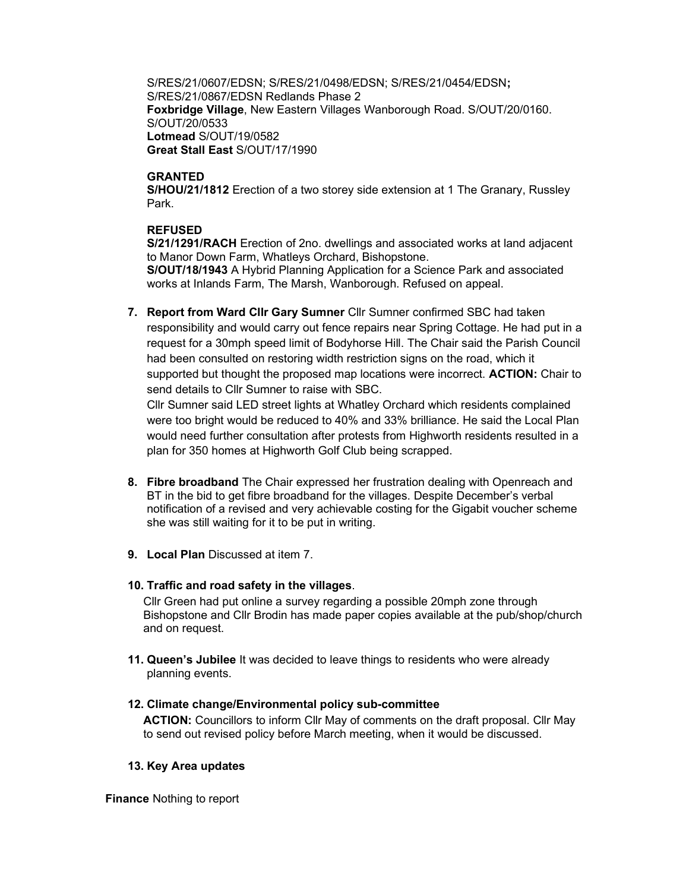S/RES/21/0607/EDSN; S/RES/21/0498/EDSN; S/RES/21/0454/EDSN; S/RES/21/0867/EDSN Redlands Phase 2 Foxbridge Village, New Eastern Villages Wanborough Road. S/OUT/20/0160. S/OUT/20/0533 Lotmead S/OUT/19/0582 Great Stall East S/OUT/17/1990

## **GRANTED**

S/HOU/21/1812 Erection of a two storey side extension at 1 The Granary, Russley Park.

# REFUSED

S/21/1291/RACH Erection of 2no. dwellings and associated works at land adjacent to Manor Down Farm, Whatleys Orchard, Bishopstone. S/OUT/18/1943 A Hybrid Planning Application for a Science Park and associated works at Inlands Farm, The Marsh, Wanborough. Refused on appeal.

7. Report from Ward Cllr Gary Sumner Cllr Sumner confirmed SBC had taken responsibility and would carry out fence repairs near Spring Cottage. He had put in a request for a 30mph speed limit of Bodyhorse Hill. The Chair said the Parish Council had been consulted on restoring width restriction signs on the road, which it supported but thought the proposed map locations were incorrect. **ACTION:** Chair to send details to Cllr Sumner to raise with SBC.

Cllr Sumner said LED street lights at Whatley Orchard which residents complained were too bright would be reduced to 40% and 33% brilliance. He said the Local Plan would need further consultation after protests from Highworth residents resulted in a plan for 350 homes at Highworth Golf Club being scrapped.

- 8. Fibre broadband The Chair expressed her frustration dealing with Openreach and BT in the bid to get fibre broadband for the villages. Despite December's verbal notification of a revised and very achievable costing for the Gigabit voucher scheme she was still waiting for it to be put in writing.
- 9. Local Plan Discussed at item 7.

# 10. Traffic and road safety in the villages.

Cllr Green had put online a survey regarding a possible 20mph zone through Bishopstone and Cllr Brodin has made paper copies available at the pub/shop/church and on request.

11. Queen's Jubilee It was decided to leave things to residents who were already planning events.

# 12. Climate change/Environmental policy sub-committee

ACTION: Councillors to inform Cllr May of comments on the draft proposal. Cllr May to send out revised policy before March meeting, when it would be discussed.

## 13. Key Area updates

Finance Nothing to report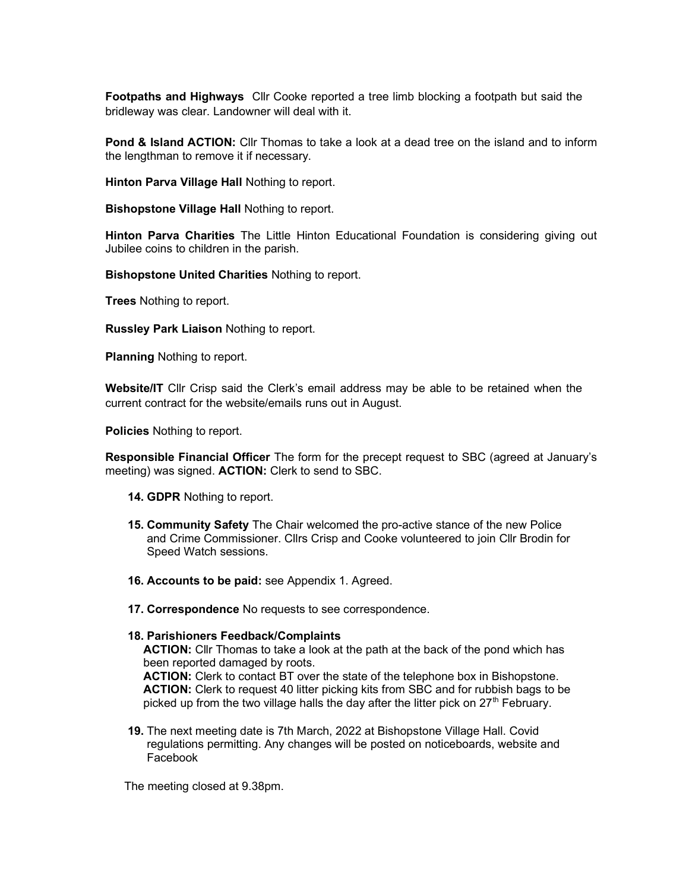Footpaths and Highways Cllr Cooke reported a tree limb blocking a footpath but said the bridleway was clear. Landowner will deal with it.

**Pond & Island ACTION:** Cllr Thomas to take a look at a dead tree on the island and to inform the lengthman to remove it if necessary.

Hinton Parva Village Hall Nothing to report.

Bishopstone Village Hall Nothing to report.

Hinton Parva Charities The Little Hinton Educational Foundation is considering giving out Jubilee coins to children in the parish.

Bishopstone United Charities Nothing to report.

**Trees** Nothing to report.

Russley Park Liaison Nothing to report.

Planning Nothing to report.

Website/IT Cllr Crisp said the Clerk's email address may be able to be retained when the current contract for the website/emails runs out in August.

Policies Nothing to report.

Responsible Financial Officer The form for the precept request to SBC (agreed at January's meeting) was signed. **ACTION:** Clerk to send to SBC.

- 14. GDPR Nothing to report.
- 15. Community Safety The Chair welcomed the pro-active stance of the new Police and Crime Commissioner. Cllrs Crisp and Cooke volunteered to join Cllr Brodin for Speed Watch sessions.
- 16. Accounts to be paid: see Appendix 1. Agreed.
- 17. Correspondence No requests to see correspondence.

#### 18. Parishioners Feedback/Complaints

ACTION: Cllr Thomas to take a look at the path at the back of the pond which has been reported damaged by roots.

ACTION: Clerk to contact BT over the state of the telephone box in Bishopstone. ACTION: Clerk to request 40 litter picking kits from SBC and for rubbish bags to be picked up from the two village halls the day after the litter pick on  $27<sup>th</sup>$  February.

19. The next meeting date is 7th March, 2022 at Bishopstone Village Hall. Covid regulations permitting. Any changes will be posted on noticeboards, website and Facebook

The meeting closed at 9.38pm.